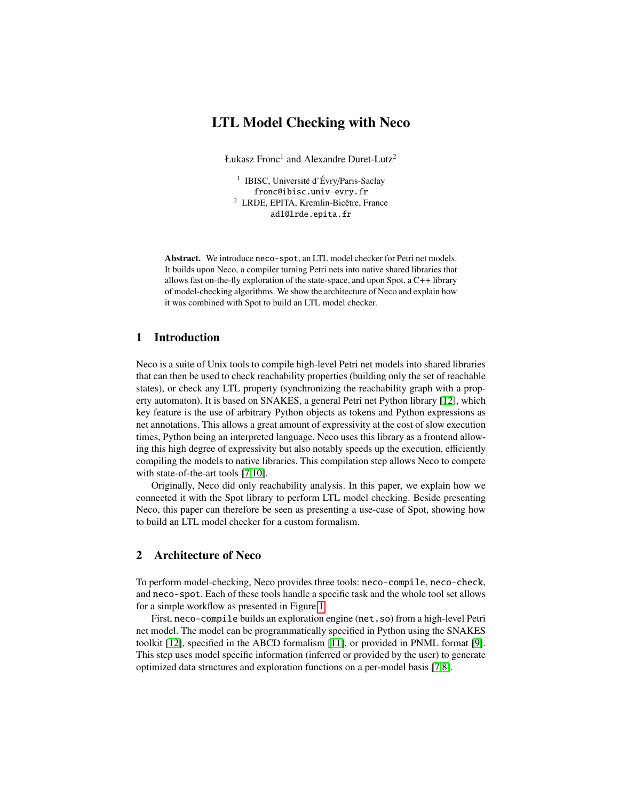# LTL Model Checking with Neco

Łukasz Fronc<sup>1</sup> and Alexandre Duret-Lutz<sup>2</sup>

<sup>1</sup> IBISC, Université d'Évry/Paris-Saclay fronc@ibisc.univ-evry.fr <sup>2</sup> LRDE, EPITA, Kremlin-Bicêtre, France adl@lrde.epita.fr

Abstract. We introduce neco-spot, an LTL model checker for Petri net models. It builds upon Neco, a compiler turning Petri nets into native shared libraries that allows fast on-the-fly exploration of the state-space, and upon Spot, a C++ library of model-checking algorithms. We show the architecture of Neco and explain how it was combined with Spot to build an LTL model checker.

## 1 Introduction

Neco is a suite of Unix tools to compile high-level Petri net models into shared libraries that can then be used to check reachability properties (building only the set of reachable states), or check any LTL property (synchronizing the reachability graph with a property automaton). It is based on SNAKES, a general Petri net Python library [\[12\]](#page-3-0), which key feature is the use of arbitrary Python objects as tokens and Python expressions as net annotations. This allows a great amount of expressivity at the cost of slow execution times, Python being an interpreted language. Neco uses this library as a frontend allowing this high degree of expressivity but also notably speeds up the execution, efficiently compiling the models to native libraries. This compilation step allows Neco to compete with state-of-the-art tools [\[7](#page-3-1)[,10\]](#page-3-2).

Originally, Neco did only reachability analysis. In this paper, we explain how we connected it with the Spot library to perform LTL model checking. Beside presenting Neco, this paper can therefore be seen as presenting a use-case of Spot, showing how to build an LTL model checker for a custom formalism.

## 2 Architecture of Neco

To perform model-checking, Neco provides three tools: neco-compile, neco-check, and neco-spot. Each of these tools handle a specific task and the whole tool set allows for a simple workflow as presented in Figure [1.](#page-1-0)

First, neco-compile builds an exploration engine (net.so) from a high-level Petri net model. The model can be programmatically specified in Python using the SNAKES toolkit [\[12\]](#page-3-0), specified in the ABCD formalism [\[11\]](#page-3-3), or provided in PNML format [\[9\]](#page-3-4). This step uses model specific information (inferred or provided by the user) to generate optimized data structures and exploration functions on a per-model basis [\[7](#page-3-1)[,8\]](#page-3-5).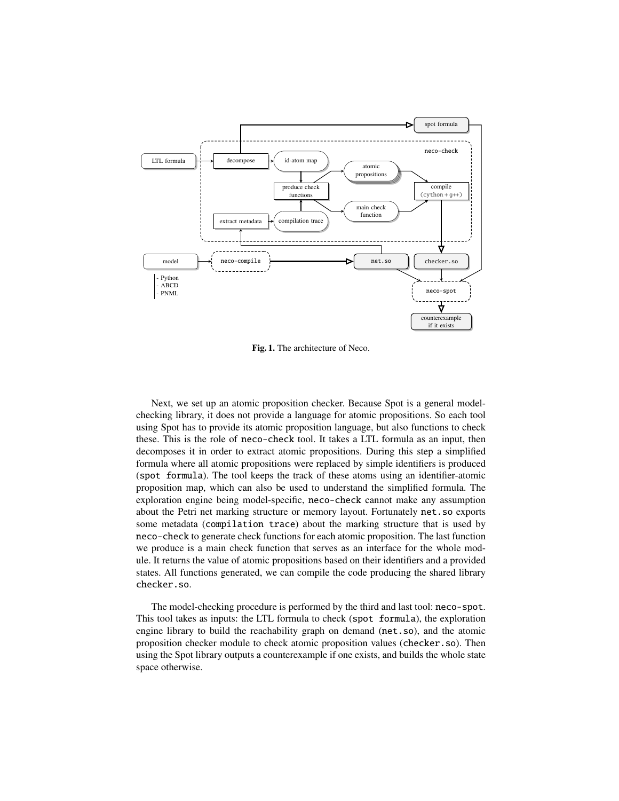

<span id="page-1-0"></span>Fig. 1. The architecture of Neco.

Next, we set up an atomic proposition checker. Because Spot is a general modelchecking library, it does not provide a language for atomic propositions. So each tool using Spot has to provide its atomic proposition language, but also functions to check these. This is the role of neco-check tool. It takes a LTL formula as an input, then decomposes it in order to extract atomic propositions. During this step a simplified formula where all atomic propositions were replaced by simple identifiers is produced (spot formula). The tool keeps the track of these atoms using an identifier-atomic proposition map, which can also be used to understand the simplified formula. The exploration engine being model-specific, neco-check cannot make any assumption about the Petri net marking structure or memory layout. Fortunately net.so exports some metadata (compilation trace) about the marking structure that is used by neco-check to generate check functions for each atomic proposition. The last function we produce is a main check function that serves as an interface for the whole module. It returns the value of atomic propositions based on their identifiers and a provided states. All functions generated, we can compile the code producing the shared library checker.so.

The model-checking procedure is performed by the third and last tool: neco-spot. This tool takes as inputs: the LTL formula to check (spot formula), the exploration engine library to build the reachability graph on demand (net.so), and the atomic proposition checker module to check atomic proposition values (checker.so). Then using the Spot library outputs a counterexample if one exists, and builds the whole state space otherwise.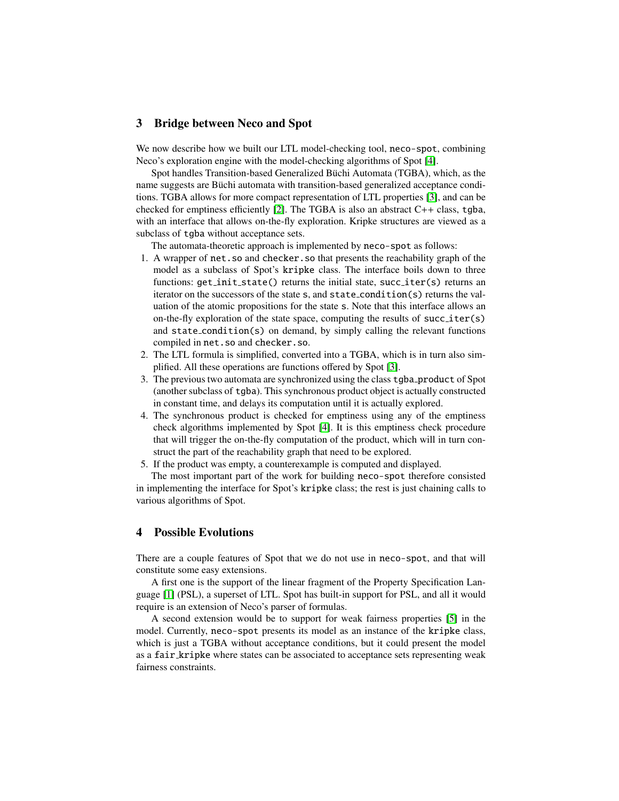### 3 Bridge between Neco and Spot

We now describe how we built our LTL model-checking tool, neco-spot, combining Neco's exploration engine with the model-checking algorithms of Spot [\[4\]](#page-3-6).

Spot handles Transition-based Generalized Büchi Automata (TGBA), which, as the name suggests are Büchi automata with transition-based generalized acceptance conditions. TGBA allows for more compact representation of LTL properties [\[3\]](#page-3-7), and can be checked for emptiness efficiently [\[2\]](#page-3-8). The TGBA is also an abstract  $C++$  class, tgba, with an interface that allows on-the-fly exploration. Kripke structures are viewed as a subclass of tgba without acceptance sets.

The automata-theoretic approach is implemented by neco-spot as follows:

- 1. A wrapper of net.so and checker.so that presents the reachability graph of the model as a subclass of Spot's kripke class. The interface boils down to three functions:  $get\_init\_state()$  returns the initial state,  $succ\_iter(s)$  returns an iterator on the successors of the state s, and state\_condition(s) returns the valuation of the atomic propositions for the state s. Note that this interface allows an on-the-fly exploration of the state space, computing the results of  $succ\_iter(s)$ and state condition(s) on demand, by simply calling the relevant functions compiled in net.so and checker.so.
- 2. The LTL formula is simplified, converted into a TGBA, which is in turn also simplified. All these operations are functions offered by Spot [\[3\]](#page-3-7).
- 3. The previous two automata are synchronized using the class tgba product of Spot (another subclass of tgba). This synchronous product object is actually constructed in constant time, and delays its computation until it is actually explored.
- 4. The synchronous product is checked for emptiness using any of the emptiness check algorithms implemented by Spot [\[4\]](#page-3-6). It is this emptiness check procedure that will trigger the on-the-fly computation of the product, which will in turn construct the part of the reachability graph that need to be explored.
- 5. If the product was empty, a counterexample is computed and displayed.

The most important part of the work for building neco-spot therefore consisted in implementing the interface for Spot's kripke class; the rest is just chaining calls to various algorithms of Spot.

### 4 Possible Evolutions

There are a couple features of Spot that we do not use in neco-spot, and that will constitute some easy extensions.

A first one is the support of the linear fragment of the Property Specification Language [\[1\]](#page-3-9) (PSL), a superset of LTL. Spot has built-in support for PSL, and all it would require is an extension of Neco's parser of formulas.

A second extension would be to support for weak fairness properties [\[5\]](#page-3-10) in the model. Currently, neco-spot presents its model as an instance of the kripke class, which is just a TGBA without acceptance conditions, but it could present the model as a fair kripke where states can be associated to acceptance sets representing weak fairness constraints.